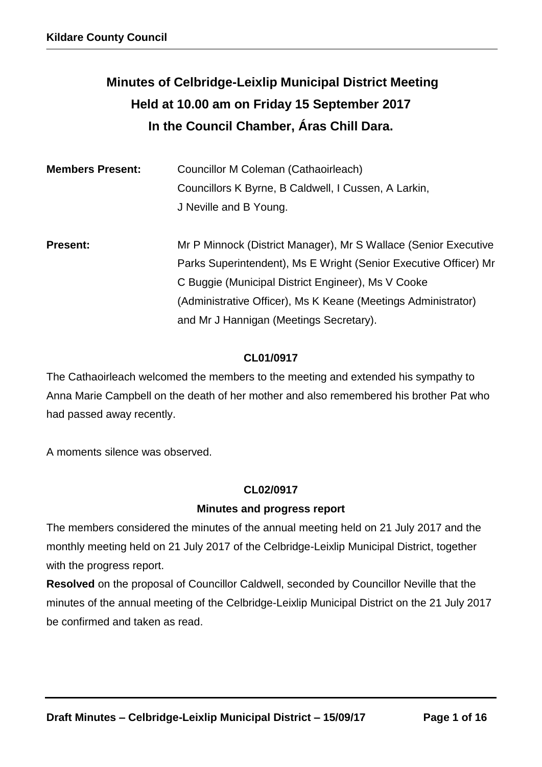# **Minutes of Celbridge-Leixlip Municipal District Meeting Held at 10.00 am on Friday 15 September 2017 In the Council Chamber, Áras Chill Dara.**

| <b>Members Present:</b> | Councillor M Coleman (Cathaoirleach)<br>Councillors K Byrne, B Caldwell, I Cussen, A Larkin,<br>J Neville and B Young.              |
|-------------------------|-------------------------------------------------------------------------------------------------------------------------------------|
| <b>Present:</b>         | Mr P Minnock (District Manager), Mr S Wallace (Senior Executive<br>Parks Superintendent), Ms E Wright (Senior Executive Officer) Mr |
|                         | C Buggie (Municipal District Engineer), Ms V Cooke<br>(Administrative Officer), Ms K Keane (Meetings Administrator)                 |
|                         | and Mr J Hannigan (Meetings Secretary).                                                                                             |

## **CL01/0917**

The Cathaoirleach welcomed the members to the meeting and extended his sympathy to Anna Marie Campbell on the death of her mother and also remembered his brother Pat who had passed away recently.

A moments silence was observed.

## **CL02/0917**

#### **Minutes and progress report**

The members considered the minutes of the annual meeting held on 21 July 2017 and the monthly meeting held on 21 July 2017 of the Celbridge-Leixlip Municipal District, together with the progress report.

**Resolved** on the proposal of Councillor Caldwell, seconded by Councillor Neville that the minutes of the annual meeting of the Celbridge-Leixlip Municipal District on the 21 July 2017 be confirmed and taken as read.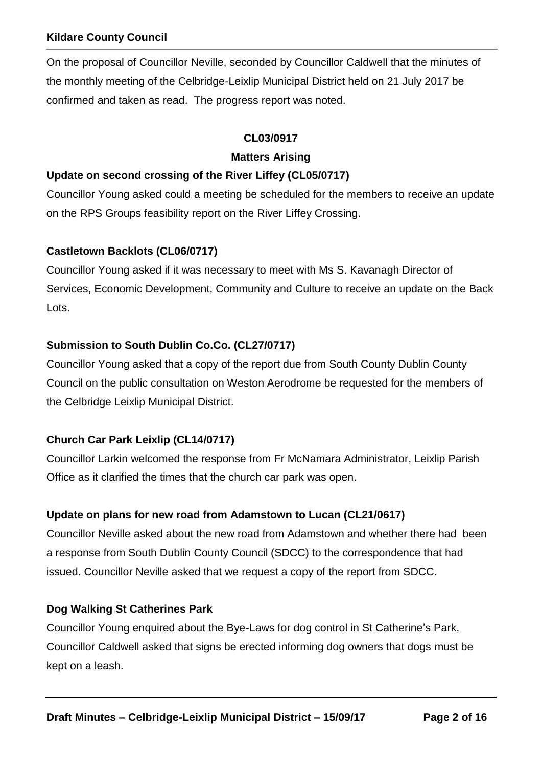On the proposal of Councillor Neville, seconded by Councillor Caldwell that the minutes of the monthly meeting of the Celbridge-Leixlip Municipal District held on 21 July 2017 be confirmed and taken as read. The progress report was noted.

## **CL03/0917**

#### **Matters Arising**

#### **Update on second crossing of the River Liffey (CL05/0717)**

Councillor Young asked could a meeting be scheduled for the members to receive an update on the RPS Groups feasibility report on the River Liffey Crossing.

## **Castletown Backlots (CL06/0717)**

Councillor Young asked if it was necessary to meet with Ms S. Kavanagh Director of Services, Economic Development, Community and Culture to receive an update on the Back Lots.

## **Submission to South Dublin Co.Co. (CL27/0717)**

Councillor Young asked that a copy of the report due from South County Dublin County Council on the public consultation on Weston Aerodrome be requested for the members of the Celbridge Leixlip Municipal District.

## **Church Car Park Leixlip (CL14/0717)**

Councillor Larkin welcomed the response from Fr McNamara Administrator, Leixlip Parish Office as it clarified the times that the church car park was open.

## **Update on plans for new road from Adamstown to Lucan (CL21/0617)**

Councillor Neville asked about the new road from Adamstown and whether there had been a response from South Dublin County Council (SDCC) to the correspondence that had issued. Councillor Neville asked that we request a copy of the report from SDCC.

#### **Dog Walking St Catherines Park**

Councillor Young enquired about the Bye-Laws for dog control in St Catherine's Park, Councillor Caldwell asked that signs be erected informing dog owners that dogs must be kept on a leash.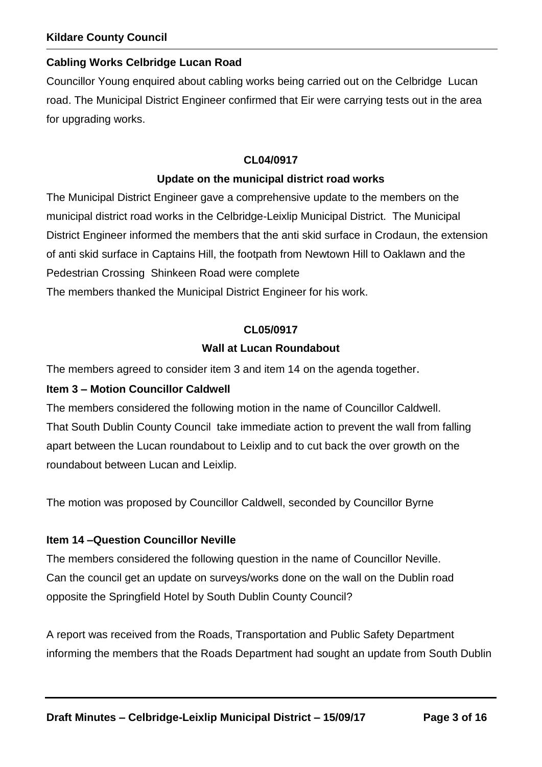#### **Cabling Works Celbridge Lucan Road**

Councillor Young enquired about cabling works being carried out on the Celbridge Lucan road. The Municipal District Engineer confirmed that Eir were carrying tests out in the area for upgrading works.

#### **CL04/0917**

#### **Update on the municipal district road works**

The Municipal District Engineer gave a comprehensive update to the members on the municipal district road works in the Celbridge-Leixlip Municipal District. The Municipal District Engineer informed the members that the anti skid surface in Crodaun, the extension of anti skid surface in Captains Hill, the footpath from Newtown Hill to Oaklawn and the Pedestrian Crossing Shinkeen Road were complete The members thanked the Municipal District Engineer for his work.

#### **CL05/0917**

#### **Wall at Lucan Roundabout**

The members agreed to consider item 3 and item 14 on the agenda together.

#### **Item 3 – Motion Councillor Caldwell**

The members considered the following motion in the name of Councillor Caldwell. That South Dublin County Council take immediate action to prevent the wall from falling apart between the Lucan roundabout to Leixlip and to cut back the over growth on the roundabout between Lucan and Leixlip.

The motion was proposed by Councillor Caldwell, seconded by Councillor Byrne

#### **Item 14 –Question Councillor Neville**

The members considered the following question in the name of Councillor Neville. Can the council get an update on surveys/works done on the wall on the Dublin road opposite the Springfield Hotel by South Dublin County Council?

A report was received from the Roads, Transportation and Public Safety Department informing the members that the Roads Department had sought an update from South Dublin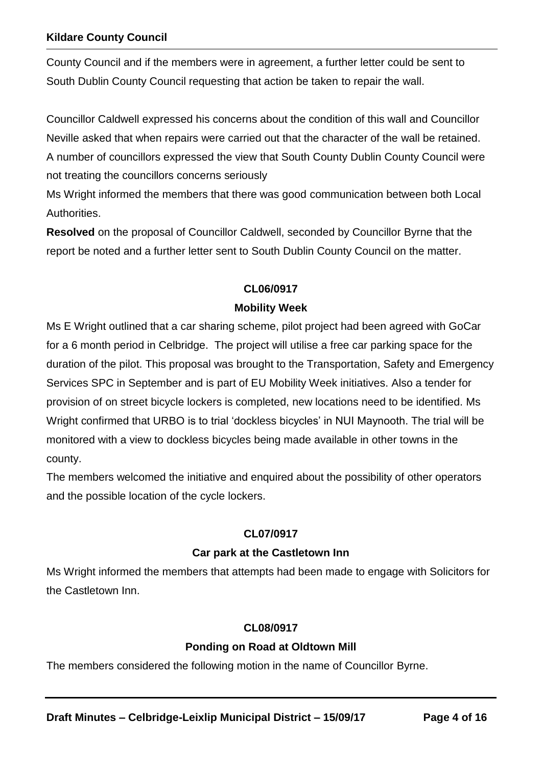County Council and if the members were in agreement, a further letter could be sent to South Dublin County Council requesting that action be taken to repair the wall.

Councillor Caldwell expressed his concerns about the condition of this wall and Councillor Neville asked that when repairs were carried out that the character of the wall be retained. A number of councillors expressed the view that South County Dublin County Council were not treating the councillors concerns seriously

Ms Wright informed the members that there was good communication between both Local Authorities.

**Resolved** on the proposal of Councillor Caldwell, seconded by Councillor Byrne that the report be noted and a further letter sent to South Dublin County Council on the matter.

#### **CL06/0917**

#### **Mobility Week**

Ms E Wright outlined that a car sharing scheme, pilot project had been agreed with GoCar for a 6 month period in Celbridge. The project will utilise a free car parking space for the duration of the pilot. This proposal was brought to the Transportation, Safety and Emergency Services SPC in September and is part of EU Mobility Week initiatives. Also a tender for provision of on street bicycle lockers is completed, new locations need to be identified. Ms Wright confirmed that URBO is to trial 'dockless bicycles' in NUI Maynooth. The trial will be monitored with a view to dockless bicycles being made available in other towns in the county.

The members welcomed the initiative and enquired about the possibility of other operators and the possible location of the cycle lockers.

#### **CL07/0917**

#### **Car park at the Castletown Inn**

Ms Wright informed the members that attempts had been made to engage with Solicitors for the Castletown Inn.

#### **CL08/0917**

#### **Ponding on Road at Oldtown Mill**

The members considered the following motion in the name of Councillor Byrne.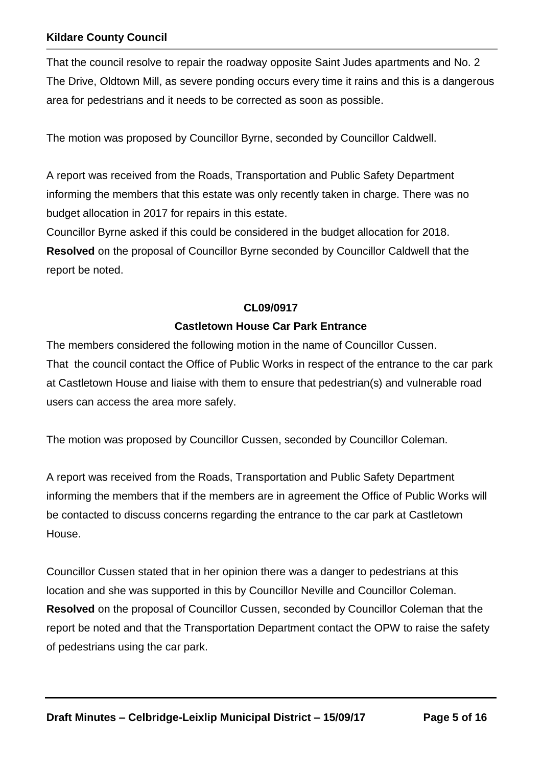That the council resolve to repair the roadway opposite Saint Judes apartments and No. 2 The Drive, Oldtown Mill, as severe ponding occurs every time it rains and this is a dangerous area for pedestrians and it needs to be corrected as soon as possible.

The motion was proposed by Councillor Byrne, seconded by Councillor Caldwell.

A report was received from the Roads, Transportation and Public Safety Department informing the members that this estate was only recently taken in charge. There was no budget allocation in 2017 for repairs in this estate.

Councillor Byrne asked if this could be considered in the budget allocation for 2018. **Resolved** on the proposal of Councillor Byrne seconded by Councillor Caldwell that the report be noted.

#### **CL09/0917**

#### **Castletown House Car Park Entrance**

The members considered the following motion in the name of Councillor Cussen. That the council contact the Office of Public Works in respect of the entrance to the car park at Castletown House and liaise with them to ensure that pedestrian(s) and vulnerable road users can access the area more safely.

The motion was proposed by Councillor Cussen, seconded by Councillor Coleman.

A report was received from the Roads, Transportation and Public Safety Department informing the members that if the members are in agreement the Office of Public Works will be contacted to discuss concerns regarding the entrance to the car park at Castletown House.

Councillor Cussen stated that in her opinion there was a danger to pedestrians at this location and she was supported in this by Councillor Neville and Councillor Coleman. **Resolved** on the proposal of Councillor Cussen, seconded by Councillor Coleman that the report be noted and that the Transportation Department contact the OPW to raise the safety of pedestrians using the car park.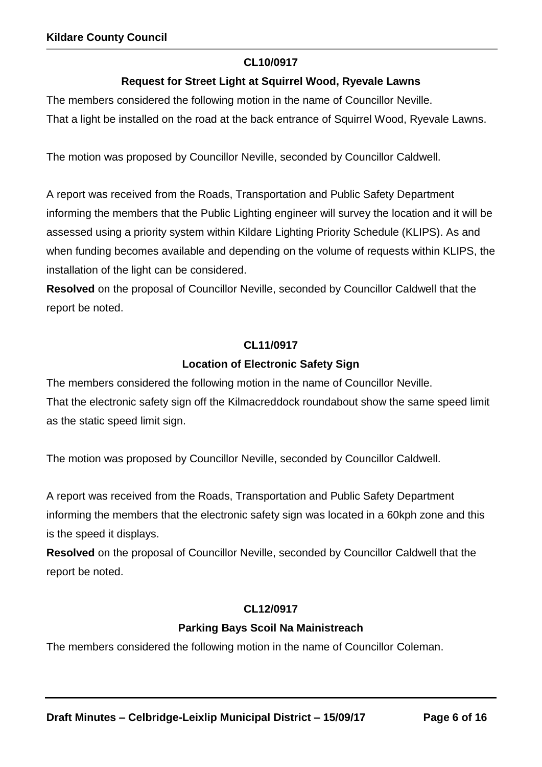#### **CL10/0917**

## **Request for Street Light at Squirrel Wood, Ryevale Lawns**

The members considered the following motion in the name of Councillor Neville.

That a light be installed on the road at the back entrance of Squirrel Wood, Ryevale Lawns.

The motion was proposed by Councillor Neville, seconded by Councillor Caldwell.

A report was received from the Roads, Transportation and Public Safety Department informing the members that the Public Lighting engineer will survey the location and it will be assessed using a priority system within Kildare Lighting Priority Schedule (KLIPS). As and when funding becomes available and depending on the volume of requests within KLIPS, the installation of the light can be considered.

**Resolved** on the proposal of Councillor Neville, seconded by Councillor Caldwell that the report be noted.

## **CL11/0917**

#### **Location of Electronic Safety Sign**

The members considered the following motion in the name of Councillor Neville. That the electronic safety sign off the Kilmacreddock roundabout show the same speed limit as the static speed limit sign.

The motion was proposed by Councillor Neville, seconded by Councillor Caldwell.

A report was received from the Roads, Transportation and Public Safety Department informing the members that the electronic safety sign was located in a 60kph zone and this is the speed it displays.

**Resolved** on the proposal of Councillor Neville, seconded by Councillor Caldwell that the report be noted.

## **CL12/0917**

## **Parking Bays Scoil Na Mainistreach**

The members considered the following motion in the name of Councillor Coleman.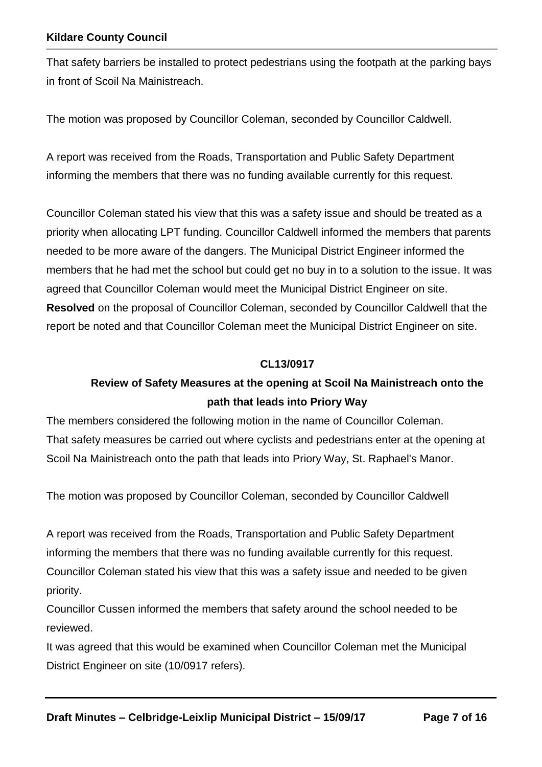That safety barriers be installed to protect pedestrians using the footpath at the parking bays in front of Scoil Na Mainistreach.

The motion was proposed by Councillor Coleman, seconded by Councillor Caldwell.

A report was received from the Roads, Transportation and Public Safety Department informing the members that there was no funding available currently for this request.

Councillor Coleman stated his view that this was a safety issue and should be treated as a priority when allocating LPT funding. Councillor Caldwell informed the members that parents needed to be more aware of the dangers. The Municipal District Engineer informed the members that he had met the school but could get no buy in to a solution to the issue. It was agreed that Councillor Coleman would meet the Municipal District Engineer on site. **Resolved** on the proposal of Councillor Coleman, seconded by Councillor Caldwell that the report be noted and that Councillor Coleman meet the Municipal District Engineer on site.

#### **CL13/0917**

## **Review of Safety Measures at the opening at Scoil Na Mainistreach onto the path that leads into Priory Way**

The members considered the following motion in the name of Councillor Coleman. That safety measures be carried out where cyclists and pedestrians enter at the opening at Scoil Na Mainistreach onto the path that leads into Priory Way, St. Raphael's Manor.

The motion was proposed by Councillor Coleman, seconded by Councillor Caldwell

A report was received from the Roads, Transportation and Public Safety Department informing the members that there was no funding available currently for this request. Councillor Coleman stated his view that this was a safety issue and needed to be given priority.

Councillor Cussen informed the members that safety around the school needed to be reviewed.

It was agreed that this would be examined when Councillor Coleman met the Municipal District Engineer on site (10/0917 refers).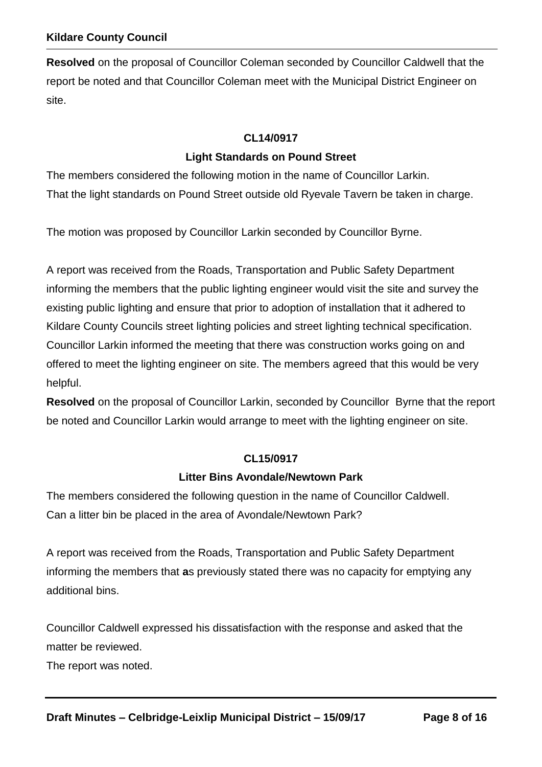**Resolved** on the proposal of Councillor Coleman seconded by Councillor Caldwell that the report be noted and that Councillor Coleman meet with the Municipal District Engineer on site.

## **CL14/0917**

## **Light Standards on Pound Street**

The members considered the following motion in the name of Councillor Larkin. That the light standards on Pound Street outside old Ryevale Tavern be taken in charge.

The motion was proposed by Councillor Larkin seconded by Councillor Byrne.

A report was received from the Roads, Transportation and Public Safety Department informing the members that the public lighting engineer would visit the site and survey the existing public lighting and ensure that prior to adoption of installation that it adhered to Kildare County Councils street lighting policies and street lighting technical specification. Councillor Larkin informed the meeting that there was construction works going on and offered to meet the lighting engineer on site. The members agreed that this would be very helpful.

**Resolved** on the proposal of Councillor Larkin, seconded by Councillor Byrne that the report be noted and Councillor Larkin would arrange to meet with the lighting engineer on site.

#### **CL15/0917**

#### **Litter Bins Avondale/Newtown Park**

The members considered the following question in the name of Councillor Caldwell. Can a litter bin be placed in the area of Avondale/Newtown Park?

A report was received from the Roads, Transportation and Public Safety Department informing the members that **a**s previously stated there was no capacity for emptying any additional bins.

Councillor Caldwell expressed his dissatisfaction with the response and asked that the matter be reviewed.

The report was noted.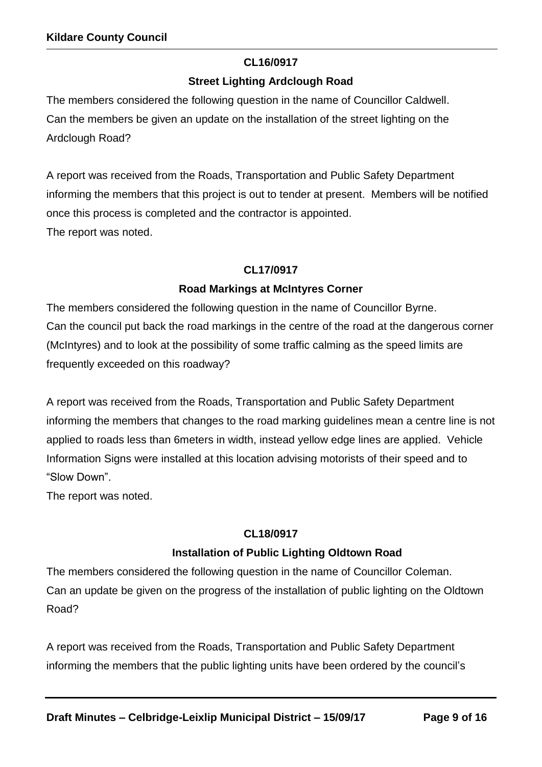## **CL16/0917**

## **Street Lighting Ardclough Road**

The members considered the following question in the name of Councillor Caldwell. Can the members be given an update on the installation of the street lighting on the Ardclough Road?

A report was received from the Roads, Transportation and Public Safety Department informing the members that this project is out to tender at present. Members will be notified once this process is completed and the contractor is appointed. The report was noted.

## **CL17/0917**

## **Road Markings at McIntyres Corner**

The members considered the following question in the name of Councillor Byrne. Can the council put back the road markings in the centre of the road at the dangerous corner (McIntyres) and to look at the possibility of some traffic calming as the speed limits are frequently exceeded on this roadway?

A report was received from the Roads, Transportation and Public Safety Department informing the members that changes to the road marking guidelines mean a centre line is not applied to roads less than 6meters in width, instead yellow edge lines are applied. Vehicle Information Signs were installed at this location advising motorists of their speed and to "Slow Down".

The report was noted.

## **CL18/0917**

## **Installation of Public Lighting Oldtown Road**

The members considered the following question in the name of Councillor Coleman. Can an update be given on the progress of the installation of public lighting on the Oldtown Road?

A report was received from the Roads, Transportation and Public Safety Department informing the members that the public lighting units have been ordered by the council's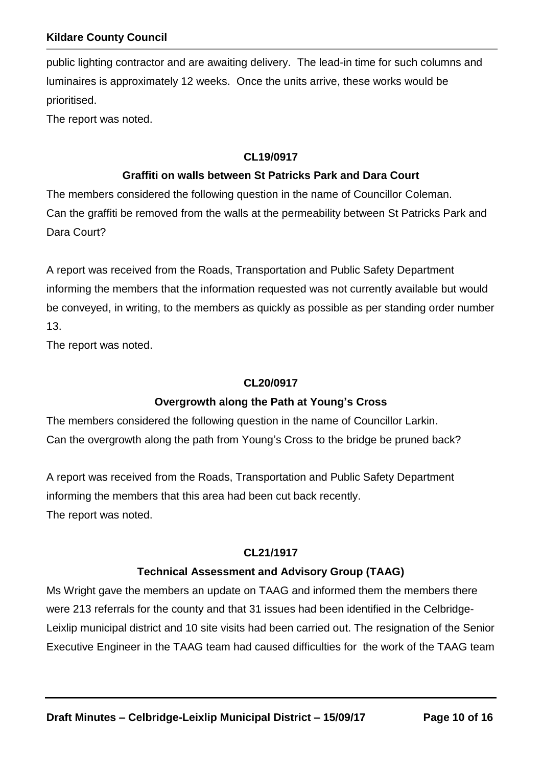public lighting contractor and are awaiting delivery. The lead-in time for such columns and luminaires is approximately 12 weeks. Once the units arrive, these works would be prioritised.

The report was noted.

#### **CL19/0917**

#### **Graffiti on walls between St Patricks Park and Dara Court**

The members considered the following question in the name of Councillor Coleman. Can the graffiti be removed from the walls at the permeability between St Patricks Park and Dara Court?

A report was received from the Roads, Transportation and Public Safety Department informing the members that the information requested was not currently available but would be conveyed, in writing, to the members as quickly as possible as per standing order number 13.

The report was noted.

#### **CL20/0917**

#### **Overgrowth along the Path at Young's Cross**

The members considered the following question in the name of Councillor Larkin. Can the overgrowth along the path from Young's Cross to the bridge be pruned back?

A report was received from the Roads, Transportation and Public Safety Department informing the members that this area had been cut back recently. The report was noted.

#### **CL21/1917**

#### **Technical Assessment and Advisory Group (TAAG)**

Ms Wright gave the members an update on TAAG and informed them the members there were 213 referrals for the county and that 31 issues had been identified in the Celbridge-Leixlip municipal district and 10 site visits had been carried out. The resignation of the Senior Executive Engineer in the TAAG team had caused difficulties for the work of the TAAG team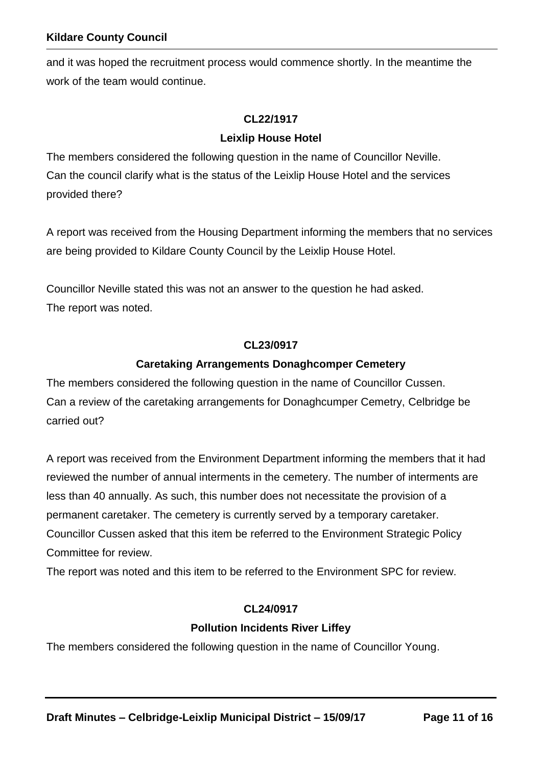and it was hoped the recruitment process would commence shortly. In the meantime the work of the team would continue.

#### **CL22/1917**

#### **Leixlip House Hotel**

The members considered the following question in the name of Councillor Neville. Can the council clarify what is the status of the Leixlip House Hotel and the services provided there?

A report was received from the Housing Department informing the members that no services are being provided to Kildare County Council by the Leixlip House Hotel.

Councillor Neville stated this was not an answer to the question he had asked. The report was noted.

#### **CL23/0917**

#### **Caretaking Arrangements Donaghcomper Cemetery**

The members considered the following question in the name of Councillor Cussen. Can a review of the caretaking arrangements for Donaghcumper Cemetry, Celbridge be carried out?

A report was received from the Environment Department informing the members that it had reviewed the number of annual interments in the cemetery. The number of interments are less than 40 annually. As such, this number does not necessitate the provision of a permanent caretaker. The cemetery is currently served by a temporary caretaker. Councillor Cussen asked that this item be referred to the Environment Strategic Policy Committee for review.

The report was noted and this item to be referred to the Environment SPC for review.

#### **CL24/0917**

#### **Pollution Incidents River Liffey**

The members considered the following question in the name of Councillor Young.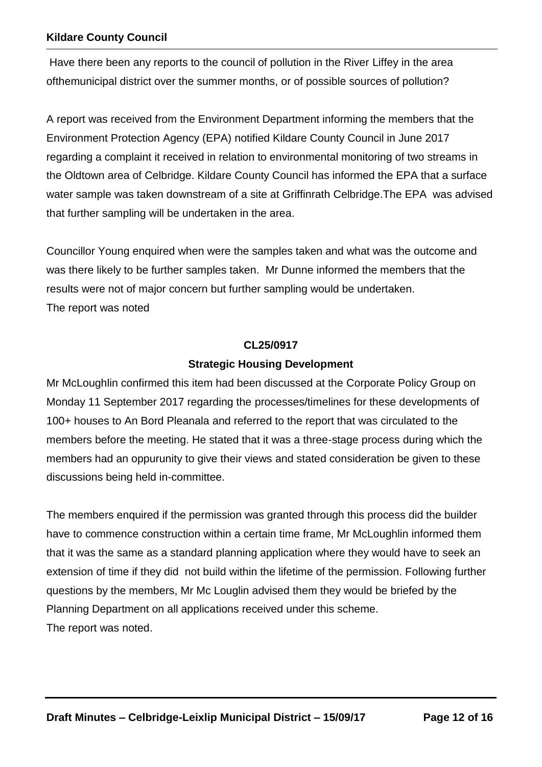Have there been any reports to the council of pollution in the River Liffey in the area ofthemunicipal district over the summer months, or of possible sources of pollution?

A report was received from the Environment Department informing the members that the Environment Protection Agency (EPA) notified Kildare County Council in June 2017 regarding a complaint it received in relation to environmental monitoring of two streams in the Oldtown area of Celbridge. Kildare County Council has informed the EPA that a surface water sample was taken downstream of a site at Griffinrath Celbridge.The EPA was advised that further sampling will be undertaken in the area.

Councillor Young enquired when were the samples taken and what was the outcome and was there likely to be further samples taken. Mr Dunne informed the members that the results were not of major concern but further sampling would be undertaken. The report was noted

#### **CL25/0917**

#### **Strategic Housing Development**

Mr McLoughlin confirmed this item had been discussed at the Corporate Policy Group on Monday 11 September 2017 regarding the processes/timelines for these developments of 100+ houses to An Bord Pleanala and referred to the report that was circulated to the members before the meeting. He stated that it was a three-stage process during which the members had an oppurunity to give their views and stated consideration be given to these discussions being held in-committee.

The members enquired if the permission was granted through this process did the builder have to commence construction within a certain time frame, Mr McLoughlin informed them that it was the same as a standard planning application where they would have to seek an extension of time if they did not build within the lifetime of the permission. Following further questions by the members, Mr Mc Louglin advised them they would be briefed by the Planning Department on all applications received under this scheme. The report was noted.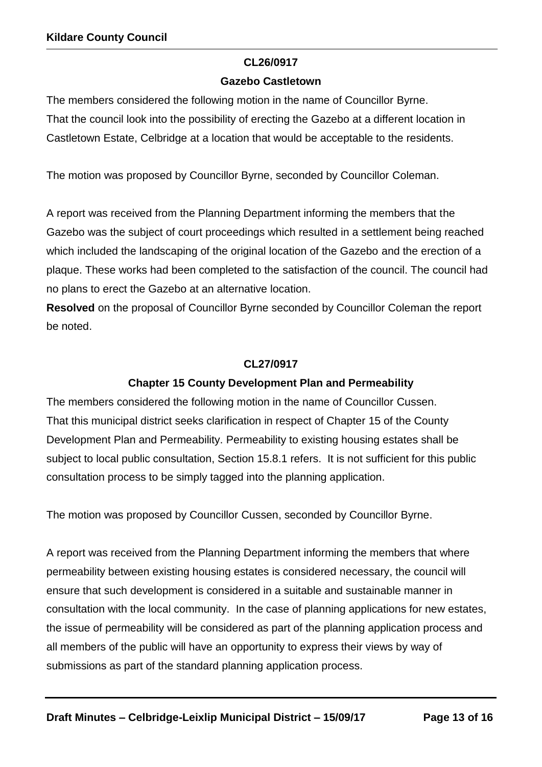## **CL26/0917**

#### **Gazebo Castletown**

The members considered the following motion in the name of Councillor Byrne. That the council look into the possibility of erecting the Gazebo at a different location in Castletown Estate, Celbridge at a location that would be acceptable to the residents.

The motion was proposed by Councillor Byrne, seconded by Councillor Coleman.

A report was received from the Planning Department informing the members that the Gazebo was the subject of court proceedings which resulted in a settlement being reached which included the landscaping of the original location of the Gazebo and the erection of a plaque. These works had been completed to the satisfaction of the council. The council had no plans to erect the Gazebo at an alternative location.

**Resolved** on the proposal of Councillor Byrne seconded by Councillor Coleman the report be noted.

## **CL27/0917**

## **Chapter 15 County Development Plan and Permeability**

The members considered the following motion in the name of Councillor Cussen. That this municipal district seeks clarification in respect of Chapter 15 of the County Development Plan and Permeability. Permeability to existing housing estates shall be subject to local public consultation, Section 15.8.1 refers. It is not sufficient for this public consultation process to be simply tagged into the planning application.

The motion was proposed by Councillor Cussen, seconded by Councillor Byrne.

A report was received from the Planning Department informing the members that where permeability between existing housing estates is considered necessary, the council will ensure that such development is considered in a suitable and sustainable manner in consultation with the local community. In the case of planning applications for new estates, the issue of permeability will be considered as part of the planning application process and all members of the public will have an opportunity to express their views by way of submissions as part of the standard planning application process.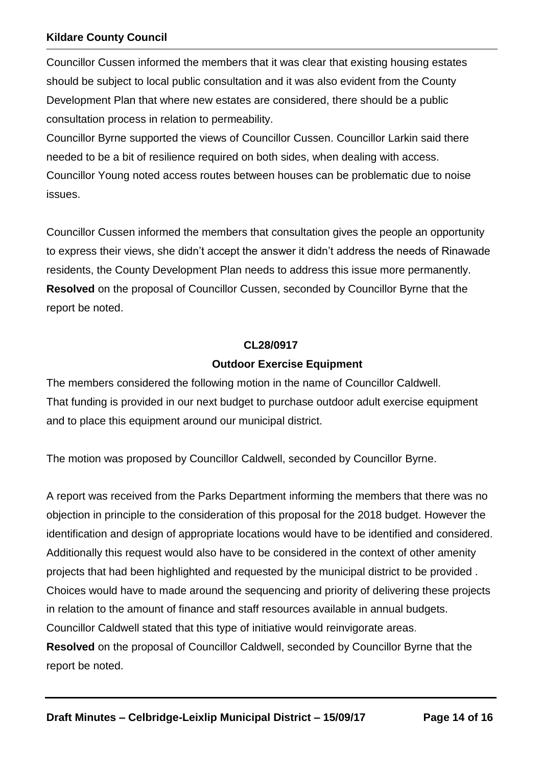Councillor Cussen informed the members that it was clear that existing housing estates should be subject to local public consultation and it was also evident from the County Development Plan that where new estates are considered, there should be a public consultation process in relation to permeability.

Councillor Byrne supported the views of Councillor Cussen. Councillor Larkin said there needed to be a bit of resilience required on both sides, when dealing with access. Councillor Young noted access routes between houses can be problematic due to noise issues.

Councillor Cussen informed the members that consultation gives the people an opportunity to express their views, she didn't accept the answer it didn't address the needs of Rinawade residents, the County Development Plan needs to address this issue more permanently. **Resolved** on the proposal of Councillor Cussen, seconded by Councillor Byrne that the report be noted.

#### **CL28/0917**

## **Outdoor Exercise Equipment**

The members considered the following motion in the name of Councillor Caldwell. That funding is provided in our next budget to purchase outdoor adult exercise equipment and to place this equipment around our municipal district.

The motion was proposed by Councillor Caldwell, seconded by Councillor Byrne.

A report was received from the Parks Department informing the members that there was no objection in principle to the consideration of this proposal for the 2018 budget. However the identification and design of appropriate locations would have to be identified and considered. Additionally this request would also have to be considered in the context of other amenity projects that had been highlighted and requested by the municipal district to be provided . Choices would have to made around the sequencing and priority of delivering these projects in relation to the amount of finance and staff resources available in annual budgets. Councillor Caldwell stated that this type of initiative would reinvigorate areas. **Resolved** on the proposal of Councillor Caldwell, seconded by Councillor Byrne that the report be noted.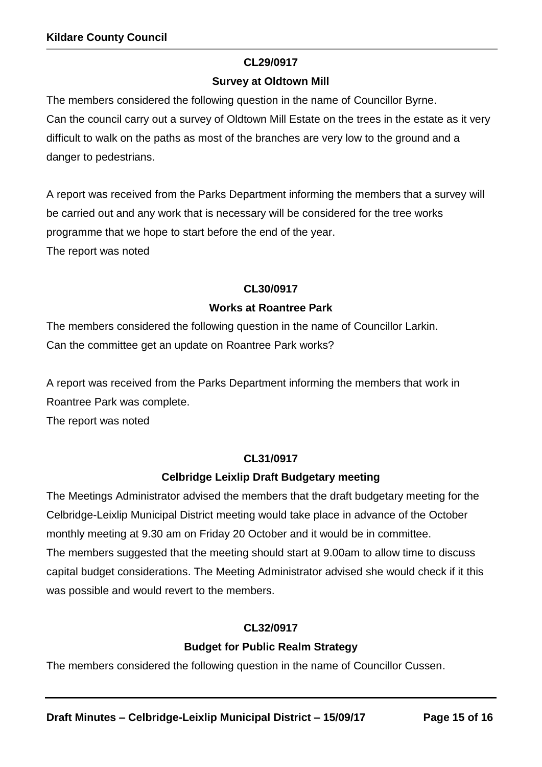## **CL29/0917**

## **Survey at Oldtown Mill**

The members considered the following question in the name of Councillor Byrne. Can the council carry out a survey of Oldtown Mill Estate on the trees in the estate as it very difficult to walk on the paths as most of the branches are very low to the ground and a danger to pedestrians.

A report was received from the Parks Department informing the members that a survey will be carried out and any work that is necessary will be considered for the tree works programme that we hope to start before the end of the year. The report was noted

## **CL30/0917**

## **Works at Roantree Park**

The members considered the following question in the name of Councillor Larkin. Can the committee get an update on Roantree Park works?

A report was received from the Parks Department informing the members that work in Roantree Park was complete.

The report was noted

## **CL31/0917**

## **Celbridge Leixlip Draft Budgetary meeting**

The Meetings Administrator advised the members that the draft budgetary meeting for the Celbridge-Leixlip Municipal District meeting would take place in advance of the October monthly meeting at 9.30 am on Friday 20 October and it would be in committee. The members suggested that the meeting should start at 9.00am to allow time to discuss capital budget considerations. The Meeting Administrator advised she would check if it this was possible and would revert to the members.

## **CL32/0917**

## **Budget for Public Realm Strategy**

The members considered the following question in the name of Councillor Cussen.